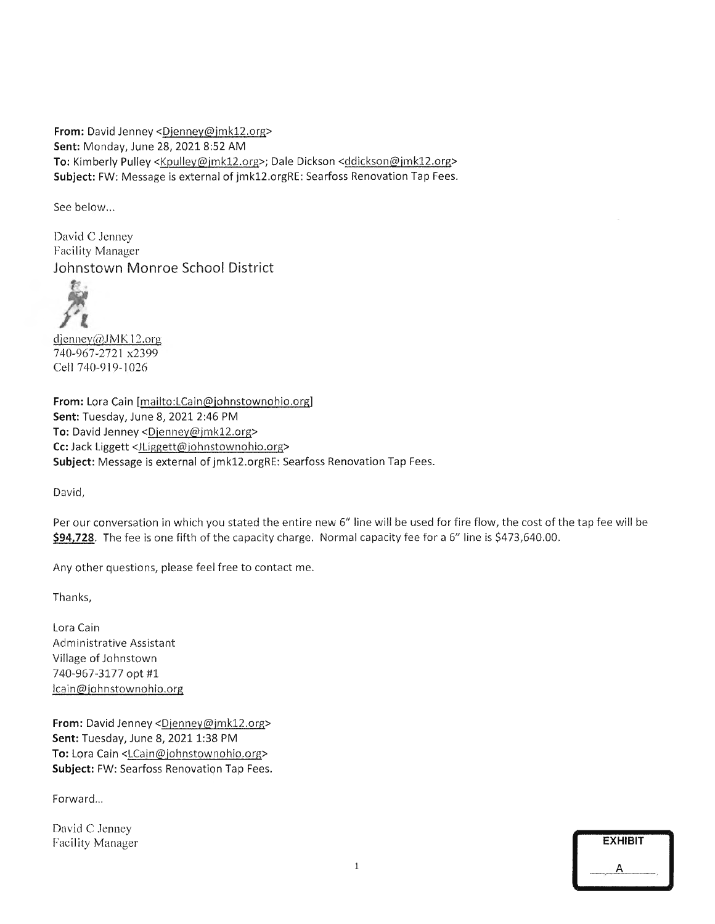From: David Jenney <Dienney@jmk12.org> Sent: Monday, June 28, 2021 8:52 AM To: Kimberly Pulley <Kpulley@jmk12.org>; Dale Dickson <ddickson@jmk12.org> Subject: FW: Message is external of jmk12.orgRE: Searfoss Renovation Tap Fees.

See below...

David C Jenney Facility Manager Johnstown Monroe School District



 $d$ jenney $@JMK12.org$ 740-967-2721 x2399 Cell 740-919-1026

From: Lora Cain [mailto:LCain@johnstownohio.org] Sent: Tuesday, June 8, 2021 2:46 PM To: David Jenney <Djenney@imk12.org> Cc: Jack Liggett <JLiggett@johnstownohio.org> Subject: Message is external of jmk12.orgRE: Searfoss Renovation Tap Fees.

David,

Per our conversation in which you stated the entire new 6" line will be used for fire flow, the cost of the tap fee will be \$94,728. The fee is one fifth of the capacity charge. Normal capacity fee for a 6" line is \$473,640.00.

Any other questions, please feel free to contact me.

Thanks,

Lora Cain Administrative Assistant Village of Johnstown 740-967-3177 opt #1 Icain@iohnstownohio.org

From: David Jenney <Dienney@imk12.org? Sent: Tuesday, June 8, 2021 1:38 PM To: Lora Cain <LCain@johnstownohio.org> Subject: FW: Searfoss Renovation Tap Fees.

Forward...

David C Jenney Facility Manager

| <b>EXHIBIT</b> |
|----------------|
|                |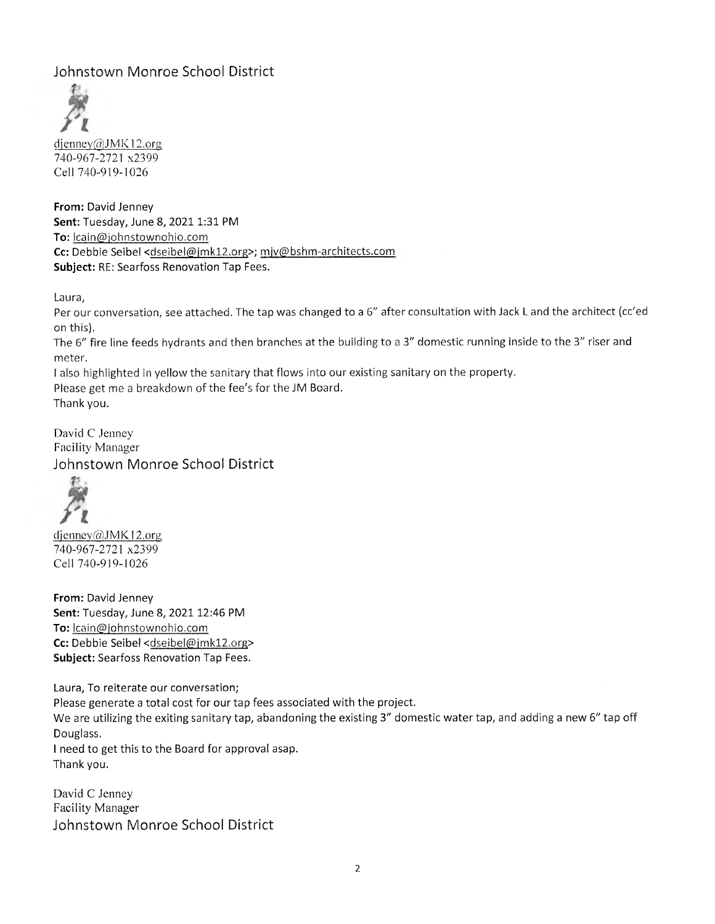Johnstown Monroe School District



djenney $@JMK12.org$ 740-967-2721 x2399 Cell 740-919-1026

From: David Jenney Sent: Tuesday, June 8, 2021 1:31 PM To: Icain@johnstownohio.com Cc: Debbie Seibel <dseibel@jmk12.org>; miv@bshm-architects.com Subject: RE: Searfoss Renovation Tap Fees.

Laura,

Per our conversation, see attached. The tap was changed to a 6" after consultation with Jack L and the architect (cc'ed on this).

The 6" fire line feeds hydrants and then branches at the building to a 3" domestic running inside to the 3" riser and meter.

I also highlighted in yellow the sanitary that flows into our existing sanitary on the property. Please get me a breakdown of the fee's for the JM Board.

Thank you.

David C Jenney Facility Manager Johnstown Monroe School District



dienney@JMK12.org 740-967-2721 x2399 Cell 740-919-1026

From: David Jenney Sent: Tuesday, June 8, 2021 12:46 PM To: Icain@johnstownohio.com Cc: Debbie Seibel <dseibel@jmk12.org> Subject: Searfoss Renovation Tap Fees.

Laura, To reiterate our conversation; Please generate a total cost for our tap fees associated with the project. We are utilizing the exiting sanitary tap, abandoning the existing 3" domestic water tap, and adding a new 6" tap off Douglass. I need to get this to the Board for approval asap. Thank you.

David C Jenney Facility Manager Johnstown Monroe School District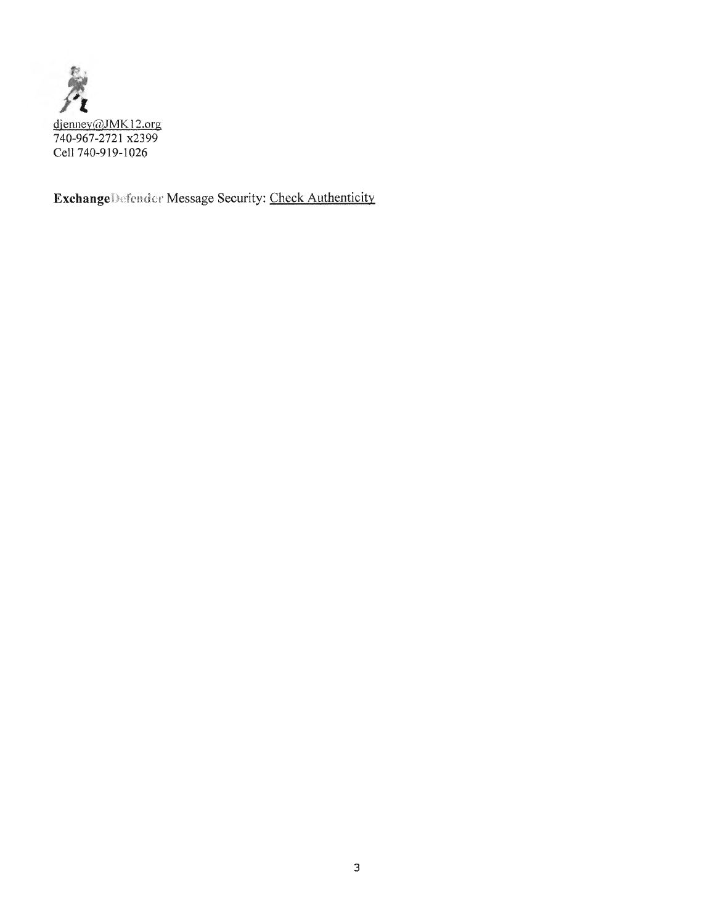

ExchangeDefender Message Security: Check Authenticity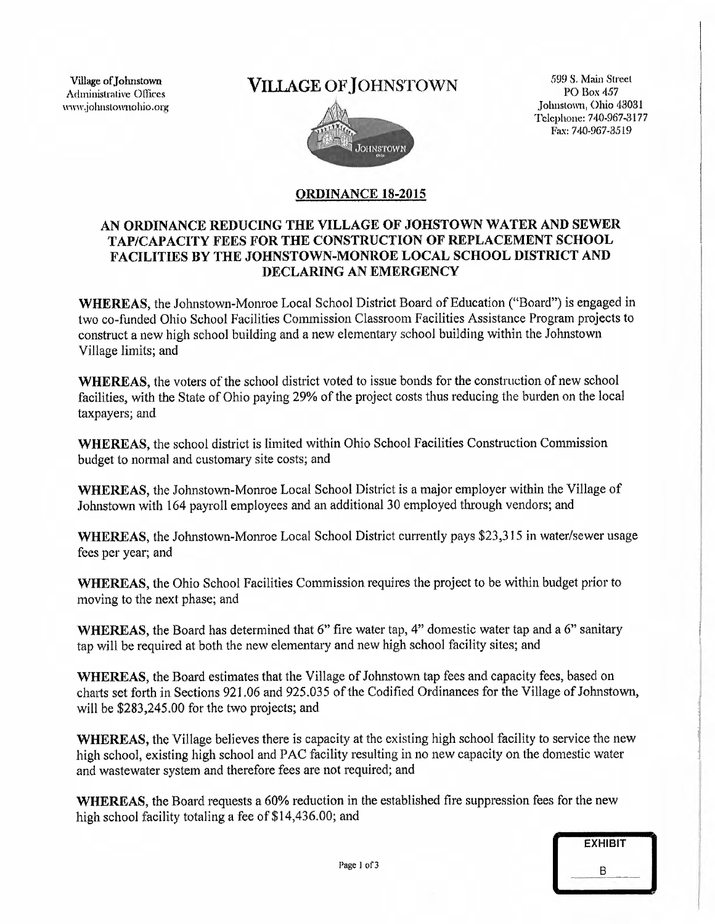Village of Johnstown Administrative Offices www.johnstommhio.org

# VILLAGE OF JOHNSTOWN



599 S. Main Street. PO Box 457 Johnstown, Ohio 43031 Telephone: 740-967-3177 Fax: 740-967-3519

## ORDINANCE 18-2015

# AN ORDINANCE REDUCING THE VILLAGE OF JOHSTOWN WATER AND SEWER TAP/CAPACITY FEES FOR THE CONSTRUCTION OF REPLACEMENT SCHOOL FACILITIES BY THE JOHNSTOWN-MONROE LOCAL SCHOOL DISTRICT AND DECLARING AN EMERGENCY

WHEREAS, the Johnstown-Monroe Local School District Board of Education ("Board") is engaged in two co-funded. Ohio School Facilities Commission Classroom Facilities Assistance Program projects to construct a new high school building and a new elementary school building within the Johnstown Village limits; and

WHEREAS, the voters of the school district voted to issue bonds for the construction of new school facilities, with the State of Ohio paying 29% of the project costs thus reducing the burden on the local taxpayers; and

WHEREAS, the school district is limited within Ohio School Facilities Construction Commission budget to normal and customary site costs; and

WHEREAS, the Johnstown-Monroe Local School District is a major employer within the Village of Johnstown with 164 payroll employees and an additional 30 employed through vendors; and

WHEREAS, the Johnstown-Monroe Local School District currently pays \$23,315 in water/sewer usage fees per year; and

WHEREAS, the Ohio School Facilities Commission requires the project to be within budget prior to moving to the next phase; and

WHEREAS, the Board has determined that 6" fire water tap, 4" domestic water tap and a 6" sanitary tap will be required at both the new elementary and new high school facility sites; and

WHEREAS, the Board estimates that the Village of Johnstown tap fees and capacity fees, based on charts set forth in Sections 921.06 and 925.035 of the Codified Ordinances for the Village of Johnstown, will be \$283,245.00 for the two projects; and

WHEREAS, the Village believes there is capacity at the existing high school facility to service the new high school, existing high school and PAC facility resulting in no new capacity on the domestic water and wastewater system and therefore fees are not required; and

WHEREAS, the Board requests a 60% reduction in the established fire suppression fees for the new high school facility totaling a fee of \$14,436.00; and

| <b>EXHIBIT</b> |   |  |
|----------------|---|--|
|                | R |  |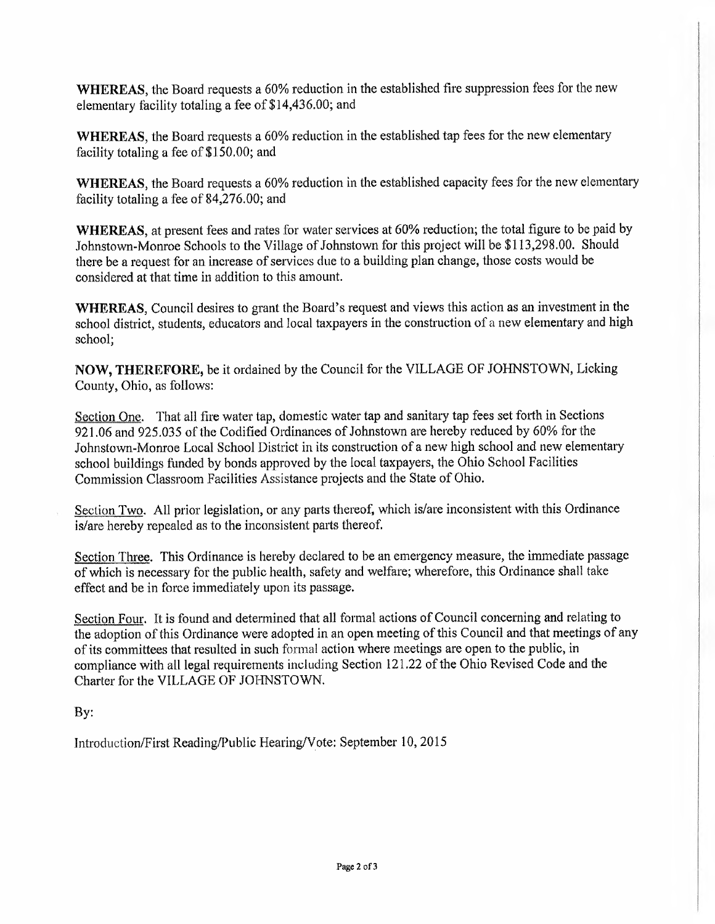WHEREAS, the Board requests a 60% reduction in the established fire suppression fees for the new elementary facility totaling a fee of \$14,436.00; and

WHEREAS, the Board requests a 60% reduction in the established tap fees for the new elementary facility totaling a fee of \$150,00; and

WHEREAS, the Board requests a 60% reduction in the established capacity fees for the new elementary facility totaling a fee of 84,276.00; and

WHEREAS, at present fees and rates for water services at 60% reduction; the total figure to be paid by Johnstown-Monroe Schools to the Village of Johnstown for this project will be \$113,298.00. Should there be a request for an increase of services due to a building plan change, those costs would be considered at that time in addition to this amount.

WHEREAS, Council desires to grant the Board's request and views this action as an investment in the school district, students, educators and local taxpayers in the construction of a new elementary and high school;

NOW, THEREFORE, be it ordained by the Council for the VILLAGE OF JOHNSTOWN, Licking County, Ohio, as follows:

Section One. That all fire water tap, domestic water tap and sanitary tap fees set forth in Sections 921.06 and 925.035 of the Codified Ordinances of Johnstown are hereby reduced by 60% for the Johnstown-Monroe Local School District in its construction of a new high school and new elementary school buildings funded by bonds approved by the local taxpayers, the Ohio School Facilities Commission Classroom Facilities Assistance projects and the State of Ohio.

Section Two. All prior legislation, or any parts thereof, which is/are inconsistent with this Ordinance is/are hereby repealed as to the inconsistent parts thereof.

Section Three. This Ordinance is hereby declared to be an emergency measure, the immediate passage of which is necessary for the public health, safety and welfare; wherefore, this Ordinance shall take effect and be in force immediately upon its passage.

Section Four. It is found and determined that all formal actions of Council concerning and relating to the adoption of this Ordinance were adopted in an open meeting of this Council and that meetings of any of its committees that resulted in such formal action where meetings are open to the public, in compliance with all legal requirements including Section 121.22 of the Ohio Revised Code and the Charter for the VILLAGE OF JOHNSTOWN.

By:

Introduction/First Reading/Public Hearing/Vote: September 10, 2015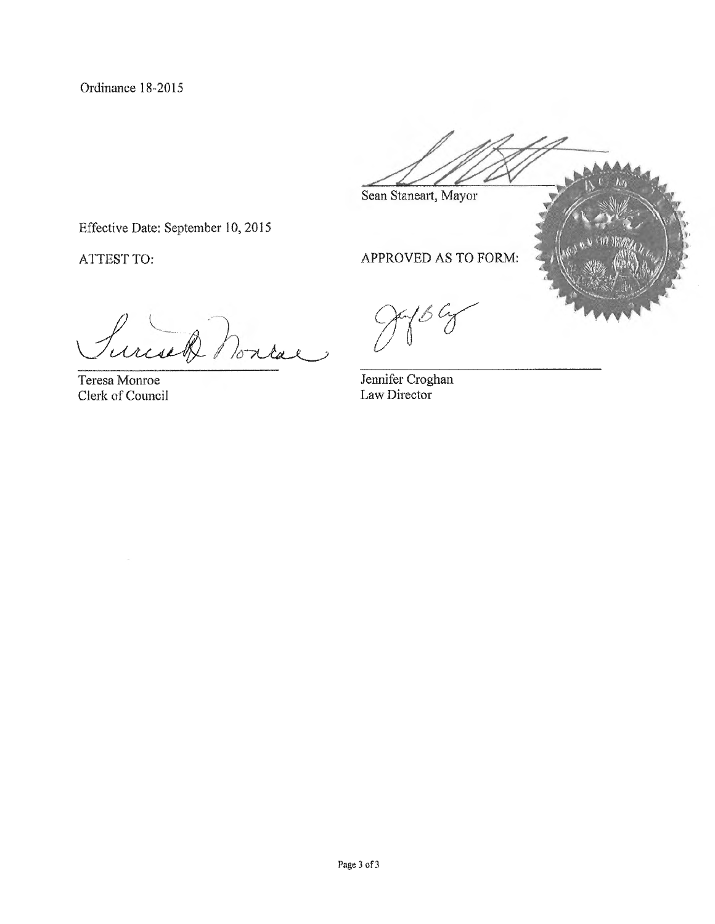Ordinance 18-2015

Sean Staneart, Mayor

Effective Date: September 10, 2015

ATTEST TO:

APPROVED AS TO FO

Percel hontal

Teresa Monroe Clerk of Council

Jennifer Croghan Law Director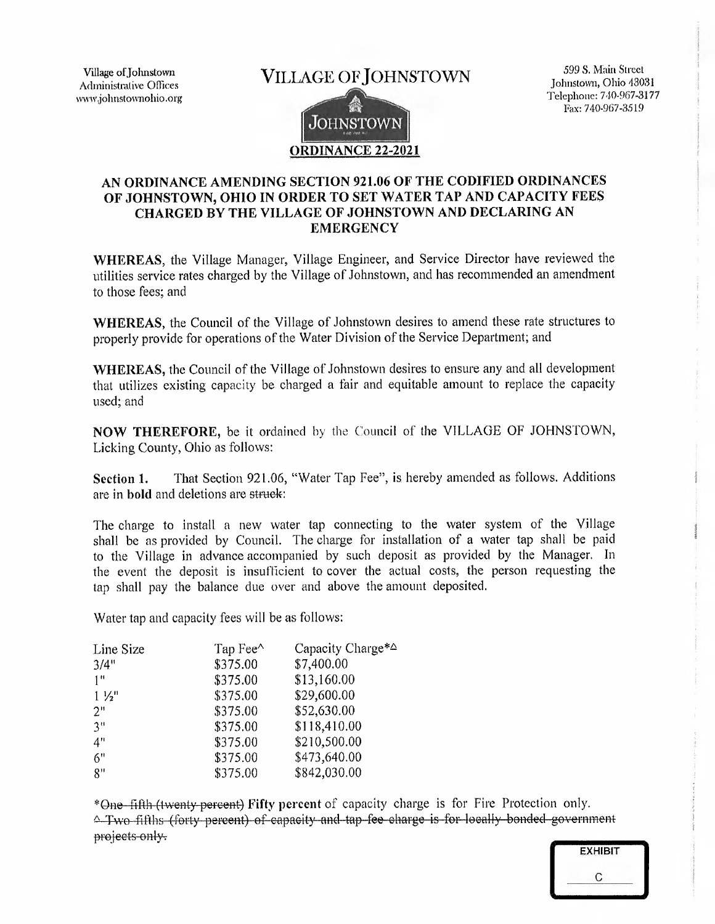Village of Johnstown Administrative Offices www,johnstownolno.org VILLAGE OF JOHNSTOWN



599 8, Main Street Johnstown, Ohio 43031 Telephone: 740-967-3177 Fax: 740-967-3519

## AN ORDINANCE AMENDING SECTION 921.06 OF THE CODIFIED ORDINANCES OF JOHNSTOWN, OHIO IN ORDER TO SET WATER TAP AND CAPACITY FEES CHARGED BY THE VILLAGE OF JOHNSTOWN AND DECLARING AN **EMERGENCY**

WHEREAS, the Village Manager, Village Engineer, and Service Director have reviewed the utilities service rates charged by the Village of Johnstown, and has recommended an amendment to those fees; and

WHEREAS, the Council of the Village of Johnstown desires to amend these rate structures to properly provide for operations of the Water Division of the Service Department; and

WHEREAS, the Council of the Village of Johnstown desires to ensure any and all development that utilizes existing capacity be charged a fair and equitable amount to replace the capacity used; and

NOW THEREFORE, be it ordained by the Council of the VILLAGE OF JOHNSTOWN, Licking County, Ohio as follows:

Section 1. That Section 921.06, "Water Tap Fee", is hereby amended as follows. Additions are in bold and deletions are struck:

The charge to install a new water tap connecting to the water system of the Village shall be as provided by Council. The charge for installation of a water tap shall be paid to the Village in advance accompanied by such deposit as provided by the Manager. In the event the deposit is insufficient to cover the actual costs, the person requesting the tap shall pay the balance due over and above the amount deposited.

Water tap and capacity fees will be as follows:

| Line Size          | Tap Fee^ | Capacity Charge*△ |
|--------------------|----------|-------------------|
| 3/4"               | \$375.00 | \$7,400.00        |
| $1^{\prime\prime}$ | \$375.00 | \$13,160.00       |
| $1\frac{1}{2}$     | \$375.00 | \$29,600.00       |
| 2"                 | \$375.00 | \$52,630.00       |
| 3 <sup>0</sup>     | \$375.00 | \$118,410.00      |
| 4"                 | \$375.00 | \$210,500.00      |
| 6"                 | \$375.00 | \$473,640.00      |
| 8"                 | \$375.00 | \$842,030.00      |

\*One fifth (twenty percent) Fifty percent of capacity charge is for Fire Protection only. <sup> $\triangle$ </sup>Two-fifths (forty percent) of capacity and tap fee charge is for locally bonded government. projeets-only-: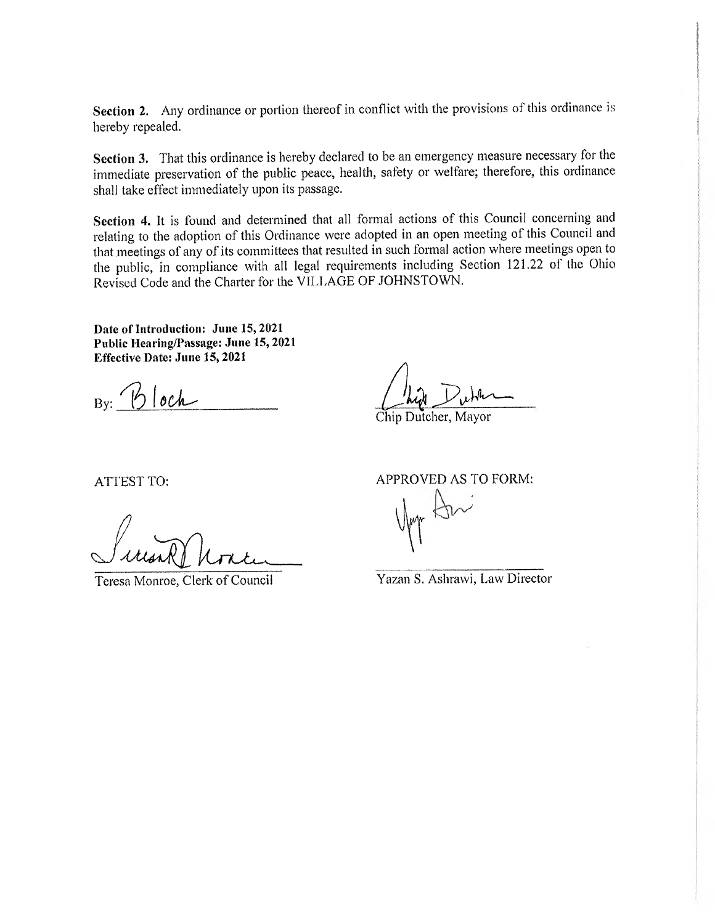Section 2. Any ordinance or portion thereof in conflict with the provisions of this ordinance is hereby repealed.

Section 3. That this ordinance is hereby declared to be an emergency measure necessary for the immediate preservation of the public peace, health, safety or welfare; therefore, this ordinance shall take effect immediately upon its passage.

Section 4. it is found and determined that all formal actions of this Council concerning and relating to the adoption of this Ordinance were adopted in an open meeting of this Council and that meetings of any of its committees that resulted in such formal action where meetings open to the public, in compliance with all legal requirements including Section 121.22 of the Ohio Revised Code and the Charter for the VILLAGE OF JOHNSTOWN.

Date of Introduction: June 15, 2021 Public Hearing/Passage: June 15, 2021 Effective Date: June 15, 2021

 $_{\rm By:}$  /bloch

Chip Dutcher, Mayor

ATTEST TO:

Teresa Monroe, Clerk of Council

APPROVED AS TO FORM: Ular Der

Yazan S. Ashrawi, Law Director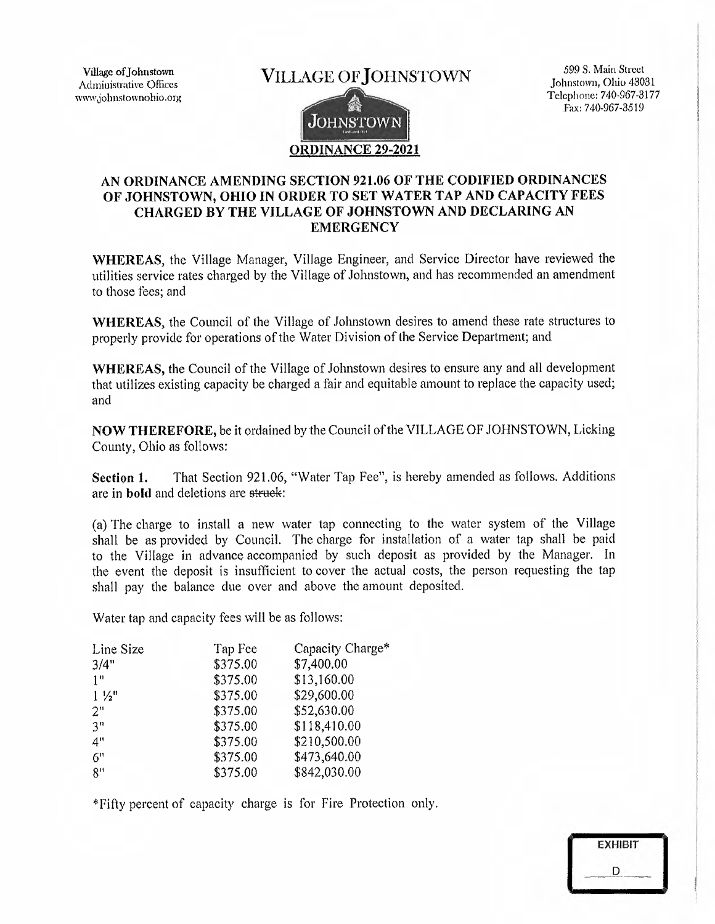Village of Johnstown Administrative Offices www,johnstownohio.org VILLAGE OFJOHNSTOWN



599 S. Main Street Johnstown, Ohio 43031 Telephone: 740-967-3177 Fax: 740-967-3519

**EXHIBIT** 

D

## AN ORDINANCE AMENDING SECTION 921.06 OF THE CODIFIED ORDINANCES OF JOHNSTOWN, OHIO IN ORDER TO SET WATER TAP AND CAPACITY FEES CHARGED BY THE VILLAGE OF JOHNSTOWN AND DECLARING AN **EMERGENCY**

WHEREAS, the Village Manager, Village Engineer, and Service Director have reviewed the utilities service rates charged by the Village of Johnstown, and has recommended an amendment to those fees; and

WHEREAS, the Council of the Village of Johnstown desires to amend these rate structures to properly provide for operations of the Water Division of the Service Department; and

WHEREAS, the Council of the Village of Johnstown desires to ensure any and all development that utilizes existing capacity be charged a fair and equitable amount to replace the capacity used; and

NOW THEREFORE, be it ordained by the Council of the VILLAGE OF JOHNSTOWN, Licking County, Ohio as follows:

Section 1. That Section 921.06, "Water Tap Fee", is hereby amended as follows. Additions are in bold and deletions are struck:

(a) The charge to install a new water tap connecting to the water system of the Village shall be as provided by Council. The charge for installation of a water tap shall be paid to the Village in advance accompanied by such deposit as provided by the Manager. In the event the deposit is insufficient to cover the actual costs, the person requesting the tap shall pay the balance due over and above the amount deposited.

Water tap and capacity fees will be as follows:

| Line Size      | Tap Fee  | Capacity Charge* |
|----------------|----------|------------------|
| 3/4"           | \$375.00 | \$7,400.00       |
| 1 <sup>n</sup> | \$375.00 | \$13,160.00      |
| $1\frac{1}{2}$ | \$375.00 | \$29,600.00      |
| 2 <sup>n</sup> | \$375.00 | \$52,630.00      |
| 3 <sup>n</sup> | \$375.00 | \$118,410.00     |
| 4"             | \$375.00 | \$210,500.00     |
| 6 <sup>n</sup> | \$375.00 | \$473,640.00     |
| 8 <sup>0</sup> | \$375.00 | \$842,030.00     |

\*Fifty percent of capacity charge is for Fire Protection only.